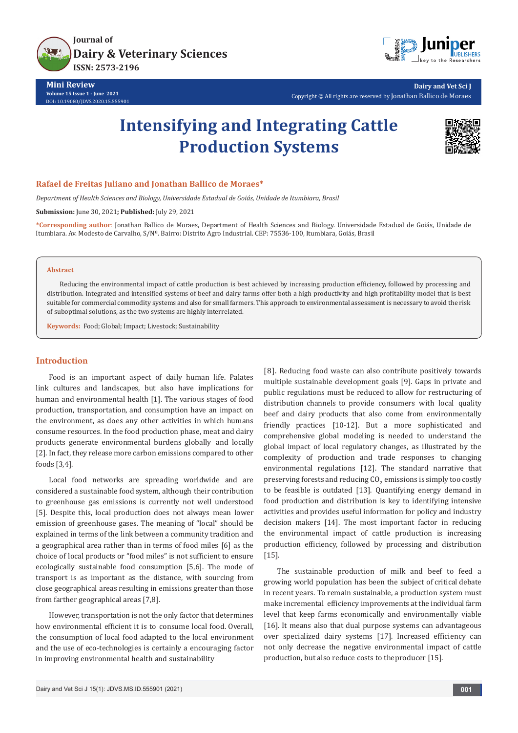

**Mini Review Volume 15 Issue 1 - June 2021** DOI: [10.19080/JDVS.2020.15.5559](http://dx.doi.org/10.19080/JDVS.2020.15.555901)01



**Dairy and Vet Sci J** Copyright © All rights are reserved by Jonathan Ballico de Moraes

# **Intensifying and Integrating Cattle Production Systems**



### **Rafael de Freitas Juliano and Jonathan Ballico de Moraes\***

*Department of Health Sciences and Biology, Universidade Estadual de Goiás, Unidade de Itumbiara, Brasil*

**Submission:** June 30, 2021**; Published:** July 29, 2021

**\*Corresponding author**: Jonathan Ballico de Moraes, Department of Health Sciences and Biology. Universidade Estadual de Goiás, Unidade de Itumbiara. Av. Modesto de Carvalho, S/Nº. Bairro: Distrito Agro Industrial. CEP: 75536-100, Itumbiara, Goiás, Brasil

#### **Abstract**

Reducing the environmental impact of cattle production is best achieved by increasing production efficiency, followed by processing and distribution. Integrated and intensified systems of beef and dairy farms offer both a high productivity and high profitability model that is best suitable for commercial commodity systems and also for small farmers. This approach to environmental assessment is necessary to avoid the risk of suboptimal solutions, as the two systems are highly interrelated.

**Keywords:** Food; Global; Impact; Livestock; Sustainability

## **Introduction**

Food is an important aspect of daily human life. Palates link cultures and landscapes, but also have implications for human and environmental health [1]. The various stages of food production, transportation, and consumption have an impact on the environment, as does any other activities in which humans consume resources. In the food production phase, meat and dairy products generate environmental burdens globally and locally [2]. In fact, they release more carbon emissions compared to other foods [3,4].

Local food networks are spreading worldwide and are considered a sustainable food system, although their contribution to greenhouse gas emissions is currently not well understood [5]. Despite this, local production does not always mean lower emission of greenhouse gases. The meaning of "local" should be explained in terms of the link between a community tradition and a geographical area rather than in terms of food miles [6] as the choice of local products or "food miles" is not sufficient to ensure ecologically sustainable food consumption [5,6]. The mode of transport is as important as the distance, with sourcing from close geographical areas resulting in emissions greater than those from farther geographical areas [7,8].

However, transportation is not the only factor that determines how environmental efficient it is to consume local food. Overall, the consumption of local food adapted to the local environment and the use of eco-technologies is certainly a encouraging factor in improving environmental health and sustainability

[8]. Reducing food waste can also contribute positively towards multiple sustainable development goals [9]. Gaps in private and public regulations must be reduced to allow for restructuring of distribution channels to provide consumers with local quality beef and dairy products that also come from environmentally friendly practices [10-12]. But a more sophisticated and comprehensive global modeling is needed to understand the global impact of local regulatory changes, as illustrated by the complexity of production and trade responses to changing environmental regulations [12]. The standard narrative that preserving forests and reducing CO $_2$  emissions is simply too costly to be feasible is outdated [13]. Quantifying energy demand in food production and distribution is key to identifying intensive activities and provides useful information for policy and industry decision makers [14]. The most important factor in reducing the environmental impact of cattle production is increasing production efficiency, followed by processing and distribution [15].

The sustainable production of milk and beef to feed a growing world population has been the subject of critical debate in recent years. To remain sustainable, a production system must make incremental efficiency improvements at the individual farm level that keep farms economically and environmentally viable [16]. It means also that dual purpose systems can advantageous over specialized dairy systems [17]. Increased efficiency can not only decrease the negative environmental impact of cattle production, but also reduce costs to the producer [15].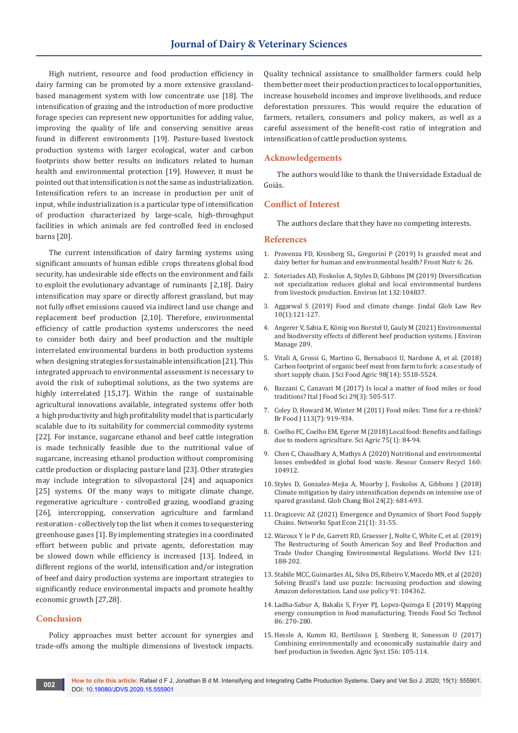# **Journal of Dairy & Veterinary Sciences**

High nutrient, resource and food production efficiency in dairy farming can be promoted by a more extensive grasslandbased management system with low concentrate use [18]. The intensification of grazing and the introduction of more productive forage species can represent new opportunities for adding value, improving the quality of life and conserving sensitive areas found in different environments [19]. Pasture-based livestock production systems with larger ecological, water and carbon footprints show better results on indicators related to human health and environmental protection [19]. However, it must be pointed out that intensification is not the same as industrialization. Intensification refers to an increase in production per unit of input, while industrialization is a particular type of intensification of production characterized by large-scale, high-throughput facilities in which animals are fed controlled feed in enclosed barns [20].

The current intensification of dairy farming systems using significant amounts of human edible crops threatens global food security, has undesirable side effects on the environment and fails to exploit the evolutionary advantage of ruminants [2,18]. Dairy intensification may spare or directly afforest grassland, but may not fully offset emissions caused via indirect land use change and replacement beef production [2,10]. Therefore, environmental efficiency of cattle production systems underscores the need to consider both dairy and beef production and the multiple interrelated environmental burdens in both production systems when designing strategies for sustainable intensification [21]. This integrated approach to environmental assessment is necessary to avoid the risk of suboptimal solutions, as the two systems are highly interrelated [15,17]. Within the range of sustainable agricultural innovations available, integrated systems offer both a high productivity and high profitability model that is particularly scalable due to its suitability for commercial commodity systems [22]. For instance, sugarcane ethanol and beef cattle integration is made technically feasible due to the nutritional value of sugarcane, increasing ethanol production without compromising cattle production or displacing pasture land [23]. Other strategies may include integration to silvopastoral [24] and aquaponics [25] systems. Of the many ways to mitigate climate change, regenerative agriculture - controlled grazing, woodland grazing [26], intercropping, conservation agriculture and farmland restoration - collectively top the list when it comes to sequestering greenhouse gases [1]. By implementing strategies in a coordinated effort between public and private agents, deforestation may be slowed down while efficiency is increased [13]. Indeed, in different regions of the world, intensification and/or integration of beef and dairy production systems are important strategies to significantly reduce environmental impacts and promote healthy economic growth [27,28].

# **Conclusion**

Policy approaches must better account for synergies and trade-offs among the multiple dimensions of livestock impacts. Quality technical assistance to smallholder farmers could help them better meet their production practices to local opportunities, increase household incomes and improve livelihoods, and reduce deforestation pressures. This would require the education of farmers, retailers, consumers and policy makers, as well as a careful assessment of the benefit-cost ratio of integration and intensification of cattle production systems.

## **Acknowledgements**

The authors would like to thank the Universidade Estadual de Goiás.

# **Conflict of Interest**

The authors declare that they have no competing interests.

#### **References**

- 1. [Provenza FD, Kronberg SL, Gregorini P \(2019\) Is grassfed meat and](https://pubmed.ncbi.nlm.nih.gov/30941351/)  [dairy better for human and environmental health? Front Nutr 6: 26.](https://pubmed.ncbi.nlm.nih.gov/30941351/)
- 2. [Soteriades AD, Foskolos A, Styles D, Gibbons JM \(2019\) Diversification](https://pubmed.ncbi.nlm.nih.gov/31450105/)  [not specialization reduces global and local environmental burdens](https://pubmed.ncbi.nlm.nih.gov/31450105/)  [from livestock production. Environ Int 132:104837.](https://pubmed.ncbi.nlm.nih.gov/31450105/)
- 3. [Aggarwal S \(2019\) Food and climate change. Jindal Glob Law Rev](https://www.infona.pl/resource/bwmeta1.element.springer-doi-10_1007-S41020-019-00083-4)  [10\(1\):121-127.](https://www.infona.pl/resource/bwmeta1.element.springer-doi-10_1007-S41020-019-00083-4)
- 4. [Angerer V, Sabia E, König von Borstel U, Gauly M \(2021\) Environmental](https://pubmed.ncbi.nlm.nih.gov/33839605/)  [and biodiversity effects of different beef production systems. J Environ](https://pubmed.ncbi.nlm.nih.gov/33839605/)  [Manage 289.](https://pubmed.ncbi.nlm.nih.gov/33839605/)
- 5. [Vitali A, Grossi G, Martino G, Bernabucci U, Nardone A, et al. \(2018\)](https://pubmed.ncbi.nlm.nih.gov/29691877/)  [Carbon footprint of organic beef meat from farm to fork: a case study of](https://pubmed.ncbi.nlm.nih.gov/29691877/)  [short supply chain. J Sci Food Agric 98\(14\): 5518-5524.](https://pubmed.ncbi.nlm.nih.gov/29691877/)
- 6. Bazzani C, Canavari M (2017) Is local a matter of food miles or food traditions? Ital J Food Sci 29(3): 505-517.
- 7. Coley D, Howard M, Winter M (2011) Food miles: Time for a re-think? Br Food J 113(7): 919-934.
- 8. [Coelho FC, Coelho EM, Egerer M \(2018\) Local food: Benefits and failings](https://www.scielo.br/j/sa/a/DNPPhm8L8RD9zGQtzrjCwhf/?lang=en)  [due to modern agriculture. Sci Agric 75\(1\): 84-94.](https://www.scielo.br/j/sa/a/DNPPhm8L8RD9zGQtzrjCwhf/?lang=en)
- 9. [Chen C, Chaudhary A, Mathys A \(2020\) Nutritional and environmental](https://www.sciencedirect.com/science/article/pii/S0921344920302305)  [losses embedded in global food waste. Resour Conserv Recycl 160:](https://www.sciencedirect.com/science/article/pii/S0921344920302305)  [104912.](https://www.sciencedirect.com/science/article/pii/S0921344920302305)
- 10. [Styles D, Gonzalez-Mejia A, Moorby J, Foskolos A, Gibbons J \(2018\)](https://pubmed.ncbi.nlm.nih.gov/28940511/)  [Climate mitigation by dairy intensification depends on intensive use of](https://pubmed.ncbi.nlm.nih.gov/28940511/)  [spared grassland. Glob Chang Biol 24\(2\): 681-693.](https://pubmed.ncbi.nlm.nih.gov/28940511/)
- 11. [Dragicevic AZ \(2021\) Emergence and Dynamics of Short Food Supply](https://ideas.repec.org/a/kap/netspa/v21y2021i1d10.1007_s11067-020-09512-7.html)  [Chains. Networks Spat Econ 21\(1\): 31-55.](https://ideas.repec.org/a/kap/netspa/v21y2021i1d10.1007_s11067-020-09512-7.html)
- 12. [Waroux Y le P de, Garrett RD, Graesser J, Nolte C, White C, et al. \(2019\)](https://www.sciencedirect.com/science/article/pii/S0305750X17302085)  [The Restructuring of South American Soy and Beef Production and](https://www.sciencedirect.com/science/article/pii/S0305750X17302085)  [Trade Under Changing Environmental Regulations. World Dev 121:](https://www.sciencedirect.com/science/article/pii/S0305750X17302085)  [188-202.](https://www.sciencedirect.com/science/article/pii/S0305750X17302085)
- 13. [Stabile MCC, Guimarães AL, Silva DS, Ribeiro V, Macedo MN, et al \(2020\)](https://www.sei.org/publications/4-steps-amazon-deforestation/)  [Solving Brazil's land use puzzle: Increasing production and slowing](https://www.sei.org/publications/4-steps-amazon-deforestation/)  [Amazon deforestation. Land use policy 91: 104362.](https://www.sei.org/publications/4-steps-amazon-deforestation/)
- 14. [Ladha-Sabur A, Bakalis S, Fryer PJ, Lopez-Quiroga E \(2019\) Mapping](https://www.sciencedirect.com/science/article/pii/S0924224417303394)  [energy consumption in food manufacturing. Trends Food Sci Technol](https://www.sciencedirect.com/science/article/pii/S0924224417303394)  [86: 270-280.](https://www.sciencedirect.com/science/article/pii/S0924224417303394)
- 15. [Hessle A, Kumm KI, Bertilsson J, Stenberg B, Sonesson U \(2017\)](https://www.sciencedirect.com/science/article/pii/S0308521X17305437)  [Combining environmentally and economically sustainable dairy and](https://www.sciencedirect.com/science/article/pii/S0308521X17305437)  [beef production in Sweden. Agric Syst 156: 105-114.](https://www.sciencedirect.com/science/article/pii/S0308521X17305437)